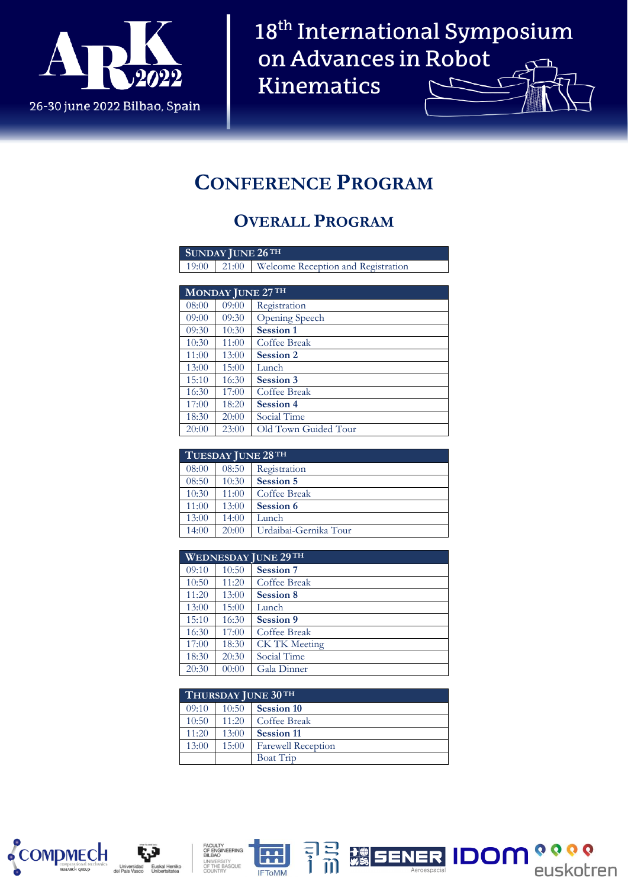

# **CONFERENCE PROGRAM**

#### **OVERALL PROGRAM**

| <b>SUNDAY JUNE 26TH</b> |                   |                                    |  |  |
|-------------------------|-------------------|------------------------------------|--|--|
| 19:00                   | 21:00             | Welcome Reception and Registration |  |  |
|                         |                   |                                    |  |  |
|                         | MONDAY JUNE 27 TH |                                    |  |  |
| 08:00                   | 09:00             | Registration                       |  |  |
| 09:00                   | 09:30             | Opening Speech                     |  |  |
| 09:30                   | 10:30             | <b>Session 1</b>                   |  |  |
| 10:30                   | 11:00             | Coffee Break                       |  |  |
| 11:00                   | 13:00             | <b>Session 2</b>                   |  |  |
| 13:00                   | 15:00             | Lunch                              |  |  |
| 15:10                   | 16:30             | <b>Session 3</b>                   |  |  |
| 16:30                   | 17:00             | Coffee Break                       |  |  |

| 19.IU | 10.JV | ətssiuli ə           |
|-------|-------|----------------------|
| 16:30 | 17:00 | Coffee Break         |
| 17:00 | 18:20 | Session 4            |
| 18:30 | 20:00 | Social Time          |
| 20:00 | 23:00 | Old Town Guided Tour |
|       |       |                      |

| TUESDAY JUNE 28 TH |       |                       |  |  |
|--------------------|-------|-----------------------|--|--|
| 08:00              | 08:50 | Registration          |  |  |
| 08:50              | 10:30 | Session 5             |  |  |
| 10:30              | 11:00 | Coffee Break          |  |  |
| 11:00              | 13:00 | Session 6             |  |  |
| 13:00              | 14:00 | Lunch                 |  |  |
| 14:00              | 20:00 | Urdaibai-Gernika Tour |  |  |

| <b>WEDNESDAY JUNE 29TH</b> |       |                      |  |  |
|----------------------------|-------|----------------------|--|--|
| 09:10                      | 10:50 | <b>Session 7</b>     |  |  |
| 10:50                      | 11:20 | Coffee Break         |  |  |
| 11:20                      | 13:00 | Session 8            |  |  |
| 13:00                      | 15:00 | Lunch                |  |  |
| 15:10                      | 16:30 | Session 9            |  |  |
| 16:30                      | 17:00 | Coffee Break         |  |  |
| 17:00                      | 18:30 | <b>CK TK Meeting</b> |  |  |
| 18:30                      | 20:30 | Social Time          |  |  |
| 20:30                      | 00:00 | Gala Dinner          |  |  |

| THURSDAY JUNE 30 TH |       |                           |  |
|---------------------|-------|---------------------------|--|
| 09:10               | 10:50 | <b>Session 10</b>         |  |
| 10:50               | 11:20 | Coffee Break              |  |
| 11:20               | 13:00 | <b>Session 11</b>         |  |
| 13:00               | 15:00 | <b>Farewell Reception</b> |  |
|                     |       | Boat Trip                 |  |









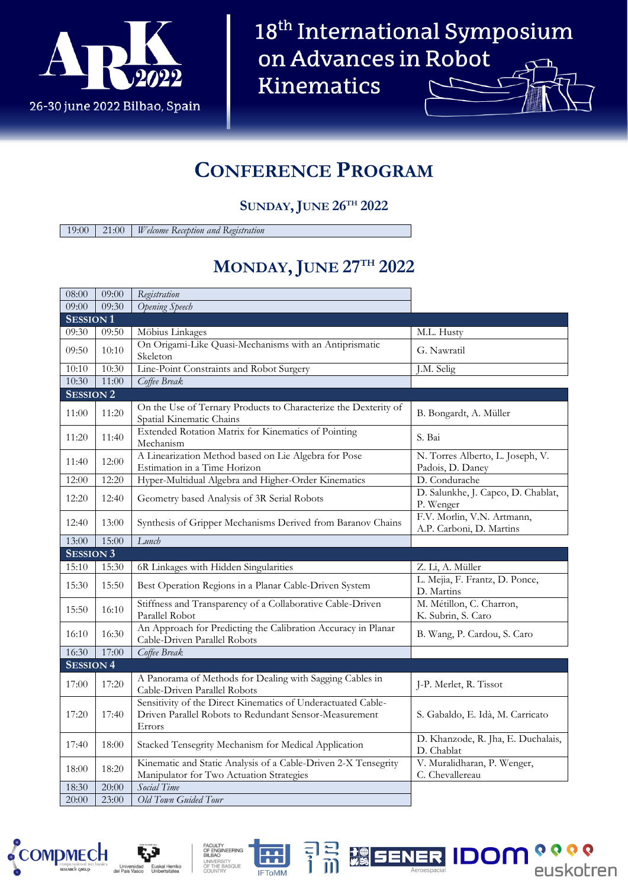

#### **CONFERENCE PROGRAM**

#### **SUNDAY, JUNE 26TH 2022**

19:00 21:00 *Welcome Reception and Registration*

### **MONDAY, JUNE 27TH 2022**

| 08:00            | 09:00 | Registration                                                                                                                     |                                                        |
|------------------|-------|----------------------------------------------------------------------------------------------------------------------------------|--------------------------------------------------------|
| 09:00            | 09:30 | <b>Opening Speech</b>                                                                                                            |                                                        |
| <b>SESSION1</b>  |       |                                                                                                                                  |                                                        |
| 09:30            | 09:50 | Möbius Linkages                                                                                                                  | M.L. Husty                                             |
| 09:50            | 10:10 | On Origami-Like Quasi-Mechanisms with an Antiprismatic<br>Skeleton                                                               | G. Nawratil                                            |
| 10:10            | 10:30 | Line-Point Constraints and Robot Surgery                                                                                         | J.M. Selig                                             |
| 10:30            | 11:00 | Coffee Break                                                                                                                     |                                                        |
| <b>SESSION 2</b> |       |                                                                                                                                  |                                                        |
| 11:00            | 11:20 | On the Use of Ternary Products to Characterize the Dexterity of<br>Spatial Kinematic Chains                                      | B. Bongardt, A. Müller                                 |
| 11:20            | 11:40 | Extended Rotation Matrix for Kinematics of Pointing<br>Mechanism                                                                 | S. Bai                                                 |
| 11:40            | 12:00 | A Linearization Method based on Lie Algebra for Pose<br>Estimation in a Time Horizon                                             | N. Torres Alberto, L. Joseph, V.<br>Padois, D. Daney   |
| 12:00            | 12:20 | Hyper-Multidual Algebra and Higher-Order Kinematics                                                                              | D. Condurache                                          |
| 12:20            | 12:40 | Geometry based Analysis of 3R Serial Robots                                                                                      | D. Salunkhe, J. Capco, D. Chablat,<br>P. Wenger        |
| 12:40            | 13:00 | Synthesis of Gripper Mechanisms Derived from Baranov Chains                                                                      | F.V. Morlin, V.N. Artmann,<br>A.P. Carboni, D. Martins |
| 13:00            | 15:00 | Lunch                                                                                                                            |                                                        |
|                  |       |                                                                                                                                  |                                                        |
| <b>SESSION 3</b> |       |                                                                                                                                  |                                                        |
| 15:10            | 15:30 | 6R Linkages with Hidden Singularities                                                                                            | Z. Li, A. Müller                                       |
| 15:30            | 15:50 | Best Operation Regions in a Planar Cable-Driven System                                                                           | L. Mejia, F. Frantz, D. Ponce,<br>D. Martins           |
| 15:50            | 16:10 | Stiffness and Transparency of a Collaborative Cable-Driven<br>Parallel Robot                                                     | M. Métillon, C. Charron,<br>K. Subrin, S. Caro         |
| 16:10            | 16:30 | An Approach for Predicting the Calibration Accuracy in Planar<br>Cable-Driven Parallel Robots                                    | B. Wang, P. Cardou, S. Caro                            |
| 16:30            | 17:00 | Coffee Break                                                                                                                     |                                                        |
| <b>SESSION 4</b> |       |                                                                                                                                  |                                                        |
| 17:00            | 17:20 | A Panorama of Methods for Dealing with Sagging Cables in<br>Cable-Driven Parallel Robots                                         | J-P. Merlet, R. Tissot                                 |
| 17:20            | 17:40 | Sensitivity of the Direct Kinematics of Underactuated Cable-<br>Driven Parallel Robots to Redundant Sensor-Measurement<br>Errors | S. Gabaldo, E. Idà, M. Carricato                       |
| 17:40            | 18:00 | Stacked Tensegrity Mechanism for Medical Application                                                                             | D. Khanzode, R. Jha, E. Duchalais,<br>D. Chablat       |
| 18:00            | 18:20 | Kinematic and Static Analysis of a Cable-Driven 2-X Tensegrity<br>Manipulator for Two Actuation Strategies                       | V. Muralidharan, P. Wenger,<br>C. Chevallereau         |
| 18:30            | 20:00 | Social Time                                                                                                                      |                                                        |









**IDOM**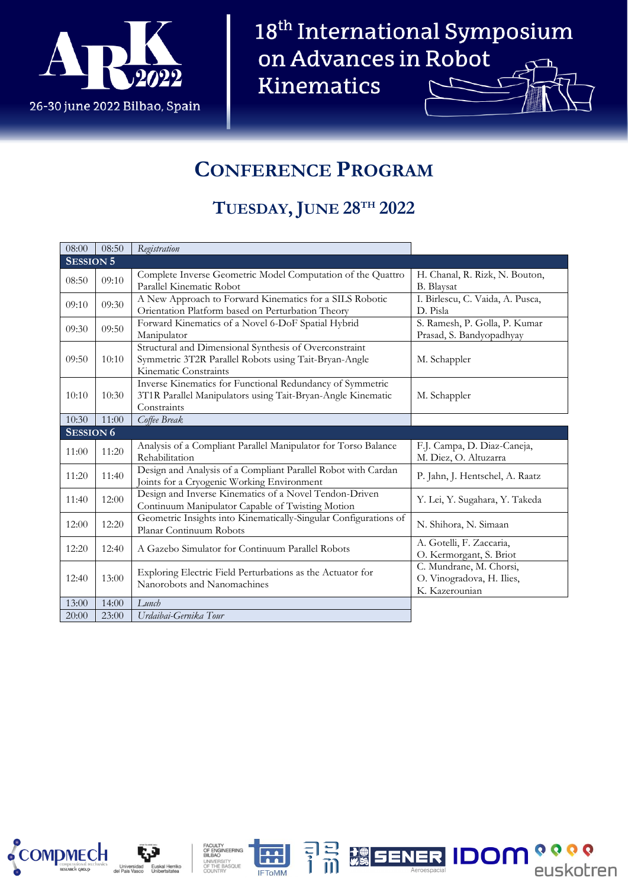

# **CONFERENCE PROGRAM**

### **TUESDAY, JUNE 28TH 2022**

| 08:00            | 08:50 | Registration                                                                                                                             |                                                                        |
|------------------|-------|------------------------------------------------------------------------------------------------------------------------------------------|------------------------------------------------------------------------|
| <b>SESSION 5</b> |       |                                                                                                                                          |                                                                        |
| 08:50            | 09:10 | Complete Inverse Geometric Model Computation of the Quattro<br>Parallel Kinematic Robot                                                  | H. Chanal, R. Rizk, N. Bouton,<br><b>B.</b> Blaysat                    |
| 09:10            | 09:30 | A New Approach to Forward Kinematics for a SILS Robotic<br>Orientation Platform based on Perturbation Theory                             | I. Birlescu, C. Vaida, A. Pusca,<br>D. Pisla                           |
| 09:30            | 09:50 | Forward Kinematics of a Novel 6-DoF Spatial Hybrid<br>Manipulator                                                                        | S. Ramesh, P. Golla, P. Kumar<br>Prasad, S. Bandyopadhyay              |
| 09:50            | 10:10 | Structural and Dimensional Synthesis of Overconstraint<br>Symmetric 3T2R Parallel Robots using Tait-Bryan-Angle<br>Kinematic Constraints | M. Schappler                                                           |
| 10:10            | 10:30 | Inverse Kinematics for Functional Redundancy of Symmetric<br>3T1R Parallel Manipulators using Tait-Bryan-Angle Kinematic<br>Constraints  | M. Schappler                                                           |
| 10:30            | 11:00 | Coffee Break                                                                                                                             |                                                                        |
| <b>SESSION 6</b> |       |                                                                                                                                          |                                                                        |
| 11:00            | 11:20 | Analysis of a Compliant Parallel Manipulator for Torso Balance<br>Rehabilitation                                                         | F.J. Campa, D. Diaz-Caneja,<br>M. Diez, O. Altuzarra                   |
| 11:20            | 11:40 | Design and Analysis of a Compliant Parallel Robot with Cardan<br>Joints for a Cryogenic Working Environment                              | P. Jahn, J. Hentschel, A. Raatz                                        |
| 11:40            | 12:00 | Design and Inverse Kinematics of a Novel Tendon-Driven<br>Continuum Manipulator Capable of Twisting Motion                               | Y. Lei, Y. Sugahara, Y. Takeda                                         |
| 12:00            | 12:20 | Geometric Insights into Kinematically-Singular Configurations of<br>Planar Continuum Robots                                              | N. Shihora, N. Simaan                                                  |
| 12:20            | 12:40 | A Gazebo Simulator for Continuum Parallel Robots                                                                                         | A. Gotelli, F. Zaccaria,<br>O. Kermorgant, S. Briot                    |
| 12:40            | 13:00 | Exploring Electric Field Perturbations as the Actuator for<br>Nanorobots and Nanomachines                                                | C. Mundrane, M. Chorsi,<br>O. Vinogradova, H. Ilies,<br>K. Kazerounian |
| 13:00            | 14:00 | Lunch                                                                                                                                    |                                                                        |
| 20:00            | 23:00 | Urdaibai-Gernika Tour                                                                                                                    |                                                                        |









 $\frac{1}{2}$ 

**SENER IDOM**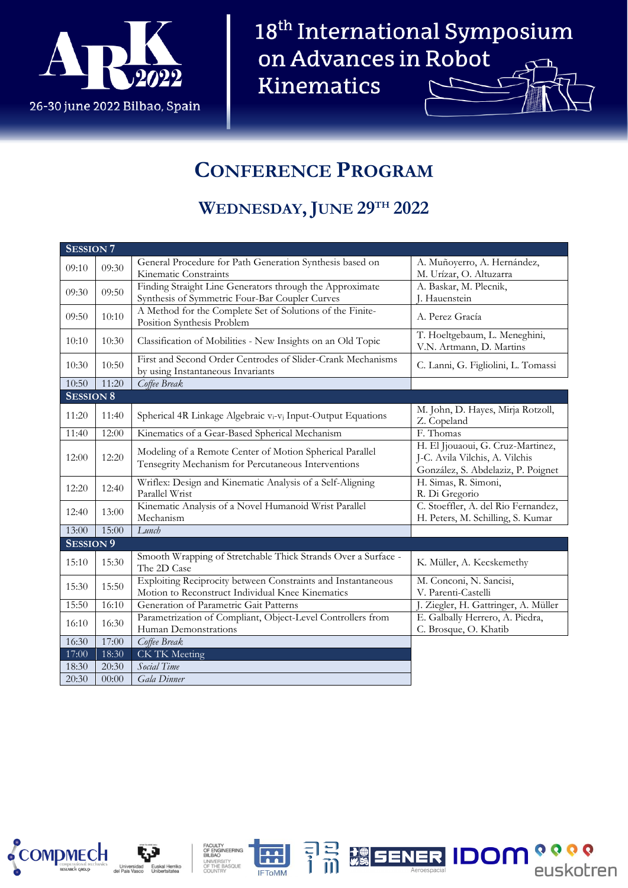

# **CONFERENCE PROGRAM**

# **WEDNESDAY, JUNE 29TH 2022**

| <b>SESSION 7</b> |       |                                                                                                                 |                                                                                                           |
|------------------|-------|-----------------------------------------------------------------------------------------------------------------|-----------------------------------------------------------------------------------------------------------|
| 09:10            | 09:30 | General Procedure for Path Generation Synthesis based on                                                        | A. Muñoyerro, A. Hernández,                                                                               |
|                  |       | Kinematic Constraints                                                                                           | M. Urízar, O. Altuzarra                                                                                   |
| 09:30            | 09:50 | Finding Straight Line Generators through the Approximate                                                        | A. Baskar, M. Plecnik,                                                                                    |
|                  |       | Synthesis of Symmetric Four-Bar Coupler Curves                                                                  | J. Hauenstein                                                                                             |
| 09:50            | 10:10 | A Method for the Complete Set of Solutions of the Finite-                                                       | A. Perez Gracía                                                                                           |
|                  |       | Position Synthesis Problem                                                                                      |                                                                                                           |
| 10:10            | 10:30 | Classification of Mobilities - New Insights on an Old Topic                                                     | T. Hoeltgebaum, L. Meneghini,<br>V.N. Artmann, D. Martins                                                 |
| 10:30            | 10:50 | First and Second Order Centrodes of Slider-Crank Mechanisms                                                     | C. Lanni, G. Figliolini, L. Tomassi                                                                       |
|                  |       | by using Instantaneous Invariants                                                                               |                                                                                                           |
| 10:50            | 11:20 | Coffee Break                                                                                                    |                                                                                                           |
| <b>SESSION 8</b> |       |                                                                                                                 |                                                                                                           |
| 11:20            | 11:40 | Spherical 4R Linkage Algebraic v <sub>i</sub> -v <sub>i</sub> Input-Output Equations                            | M. John, D. Hayes, Mirja Rotzoll,<br>Z. Copeland                                                          |
| 11:40            | 12:00 | Kinematics of a Gear-Based Spherical Mechanism                                                                  | F. Thomas                                                                                                 |
| 12:00            | 12:20 | Modeling of a Remote Center of Motion Spherical Parallel<br>Tensegrity Mechanism for Percutaneous Interventions | H. El Jjouaoui, G. Cruz-Martinez,<br>J-C. Avila Vilchis, A. Vilchis<br>González, S. Abdelaziz, P. Poignet |
| 12:20            | 12:40 | Wriflex: Design and Kinematic Analysis of a Self-Aligning<br>Parallel Wrist                                     | H. Simas, R. Simoni,<br>R. Di Gregorio                                                                    |
|                  |       | Kinematic Analysis of a Novel Humanoid Wrist Parallel                                                           | C. Stoeffler, A. del Rio Fernandez,                                                                       |
| 12:40            | 13:00 | Mechanism                                                                                                       | H. Peters, M. Schilling, S. Kumar                                                                         |
| 13:00            | 15:00 | Lunch                                                                                                           |                                                                                                           |
| <b>SESSION 9</b> |       |                                                                                                                 |                                                                                                           |
| 15:10            | 15:30 | Smooth Wrapping of Stretchable Thick Strands Over a Surface -<br>The 2D Case                                    | K. Müller, A. Kecskemethy                                                                                 |
|                  | 15:50 | Exploiting Reciprocity between Constraints and Instantaneous                                                    | M. Conconi, N. Sancisi,                                                                                   |
| 15:30            |       | Motion to Reconstruct Individual Knee Kinematics                                                                | V. Parenti-Castelli                                                                                       |
| 15:50            | 16:10 | Generation of Parametric Gait Patterns                                                                          | J. Ziegler, H. Gattringer, A. Müller                                                                      |
| 16:10            | 16:30 | Parametrization of Compliant, Object-Level Controllers from                                                     | E. Galbally Herrero, A. Piedra,                                                                           |
|                  |       | Human Demonstrations                                                                                            | C. Brosque, O. Khatib                                                                                     |
| 16:30            | 17:00 | Coffee Break                                                                                                    |                                                                                                           |
| 17:00            | 18:30 | CK TK Meeting                                                                                                   |                                                                                                           |
| 18:30            | 20:30 | Social Time                                                                                                     |                                                                                                           |
| 20:30            | 00:00 | Gala Dinner                                                                                                     |                                                                                                           |